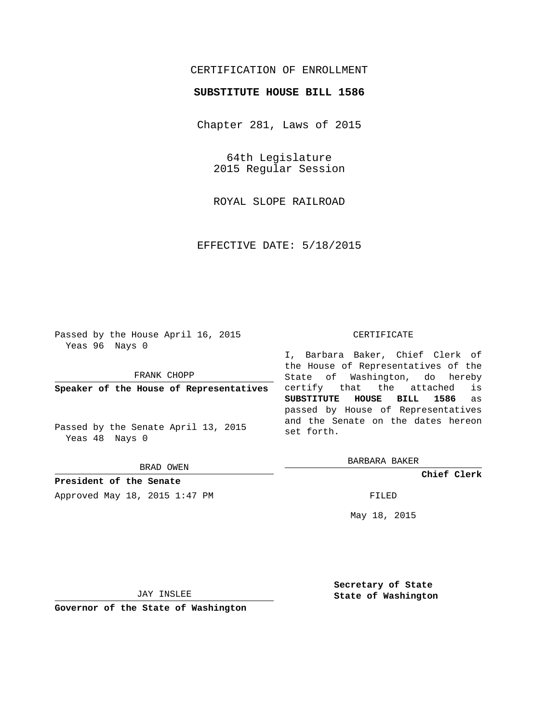## CERTIFICATION OF ENROLLMENT

## **SUBSTITUTE HOUSE BILL 1586**

Chapter 281, Laws of 2015

64th Legislature 2015 Regular Session

ROYAL SLOPE RAILROAD

EFFECTIVE DATE: 5/18/2015

Passed by the House April 16, 2015 Yeas 96 Nays 0

FRANK CHOPP

**Speaker of the House of Representatives**

Passed by the Senate April 13, 2015 Yeas 48 Nays 0

BRAD OWEN

**President of the Senate** Approved May 18, 2015 1:47 PM FILED

#### CERTIFICATE

I, Barbara Baker, Chief Clerk of the House of Representatives of the State of Washington, do hereby certify that the attached is **SUBSTITUTE HOUSE BILL 1586** as passed by House of Representatives and the Senate on the dates hereon set forth.

BARBARA BAKER

**Chief Clerk**

May 18, 2015

JAY INSLEE

**Governor of the State of Washington**

**Secretary of State State of Washington**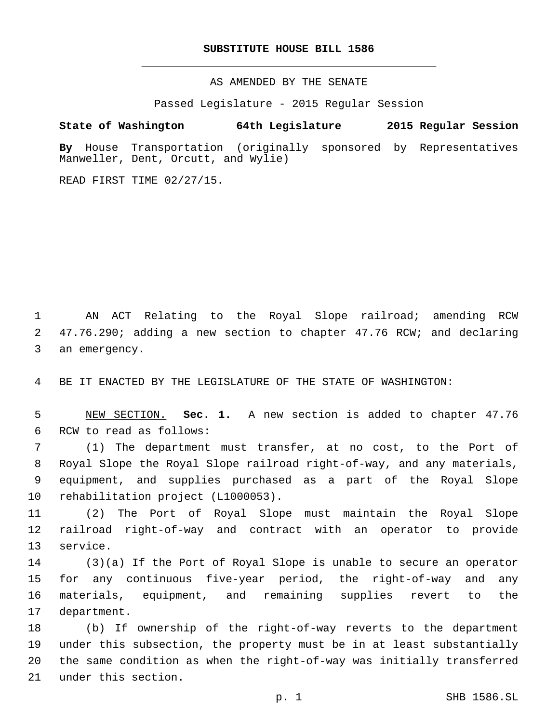### **SUBSTITUTE HOUSE BILL 1586**

AS AMENDED BY THE SENATE

Passed Legislature - 2015 Regular Session

# **State of Washington 64th Legislature 2015 Regular Session**

**By** House Transportation (originally sponsored by Representatives Manweller, Dent, Orcutt, and Wylie)

READ FIRST TIME 02/27/15.

1 AN ACT Relating to the Royal Slope railroad; amending RCW 2 47.76.290; adding a new section to chapter 47.76 RCW; and declaring 3 an emergency.

4 BE IT ENACTED BY THE LEGISLATURE OF THE STATE OF WASHINGTON:

5 NEW SECTION. **Sec. 1.** A new section is added to chapter 47.76 6 RCW to read as follows:

 (1) The department must transfer, at no cost, to the Port of Royal Slope the Royal Slope railroad right-of-way, and any materials, equipment, and supplies purchased as a part of the Royal Slope 10 rehabilitation project (L1000053).

11 (2) The Port of Royal Slope must maintain the Royal Slope 12 railroad right-of-way and contract with an operator to provide 13 service.

 (3)(a) If the Port of Royal Slope is unable to secure an operator for any continuous five-year period, the right-of-way and any materials, equipment, and remaining supplies revert to the 17 department.

 (b) If ownership of the right-of-way reverts to the department under this subsection, the property must be in at least substantially the same condition as when the right-of-way was initially transferred 21 under this section.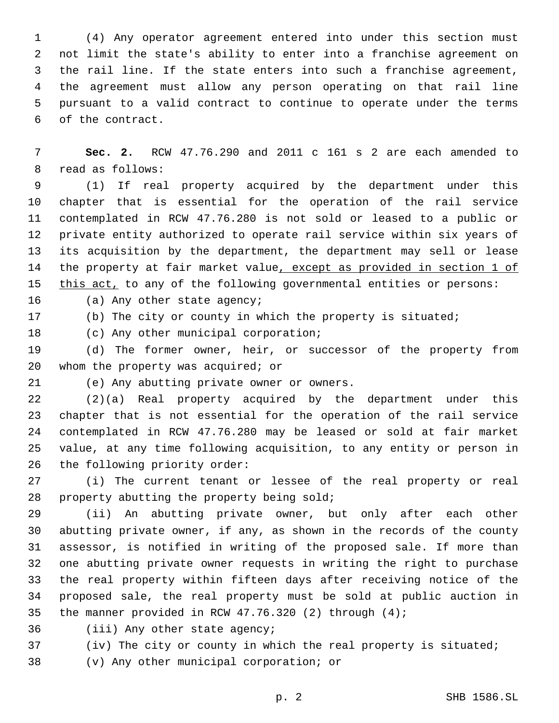(4) Any operator agreement entered into under this section must not limit the state's ability to enter into a franchise agreement on the rail line. If the state enters into such a franchise agreement, the agreement must allow any person operating on that rail line pursuant to a valid contract to continue to operate under the terms 6 of the contract.

 **Sec. 2.** RCW 47.76.290 and 2011 c 161 s 2 are each amended to 8 read as follows:

 (1) If real property acquired by the department under this chapter that is essential for the operation of the rail service contemplated in RCW 47.76.280 is not sold or leased to a public or private entity authorized to operate rail service within six years of its acquisition by the department, the department may sell or lease the property at fair market value, except as provided in section 1 of 15 this act, to any of the following governmental entities or persons:

16 (a) Any other state agency;

(b) The city or county in which the property is situated;

18 (c) Any other municipal corporation;

 (d) The former owner, heir, or successor of the property from 20 whom the property was acquired; or

(e) Any abutting private owner or owners.21

 (2)(a) Real property acquired by the department under this chapter that is not essential for the operation of the rail service contemplated in RCW 47.76.280 may be leased or sold at fair market value, at any time following acquisition, to any entity or person in 26 the following priority order:

 (i) The current tenant or lessee of the real property or real 28 property abutting the property being sold;

 (ii) An abutting private owner, but only after each other abutting private owner, if any, as shown in the records of the county assessor, is notified in writing of the proposed sale. If more than one abutting private owner requests in writing the right to purchase the real property within fifteen days after receiving notice of the proposed sale, the real property must be sold at public auction in the manner provided in RCW 47.76.320 (2) through (4);

36 (iii) Any other state agency;

(iv) The city or county in which the real property is situated;

38 (v) Any other municipal corporation; or